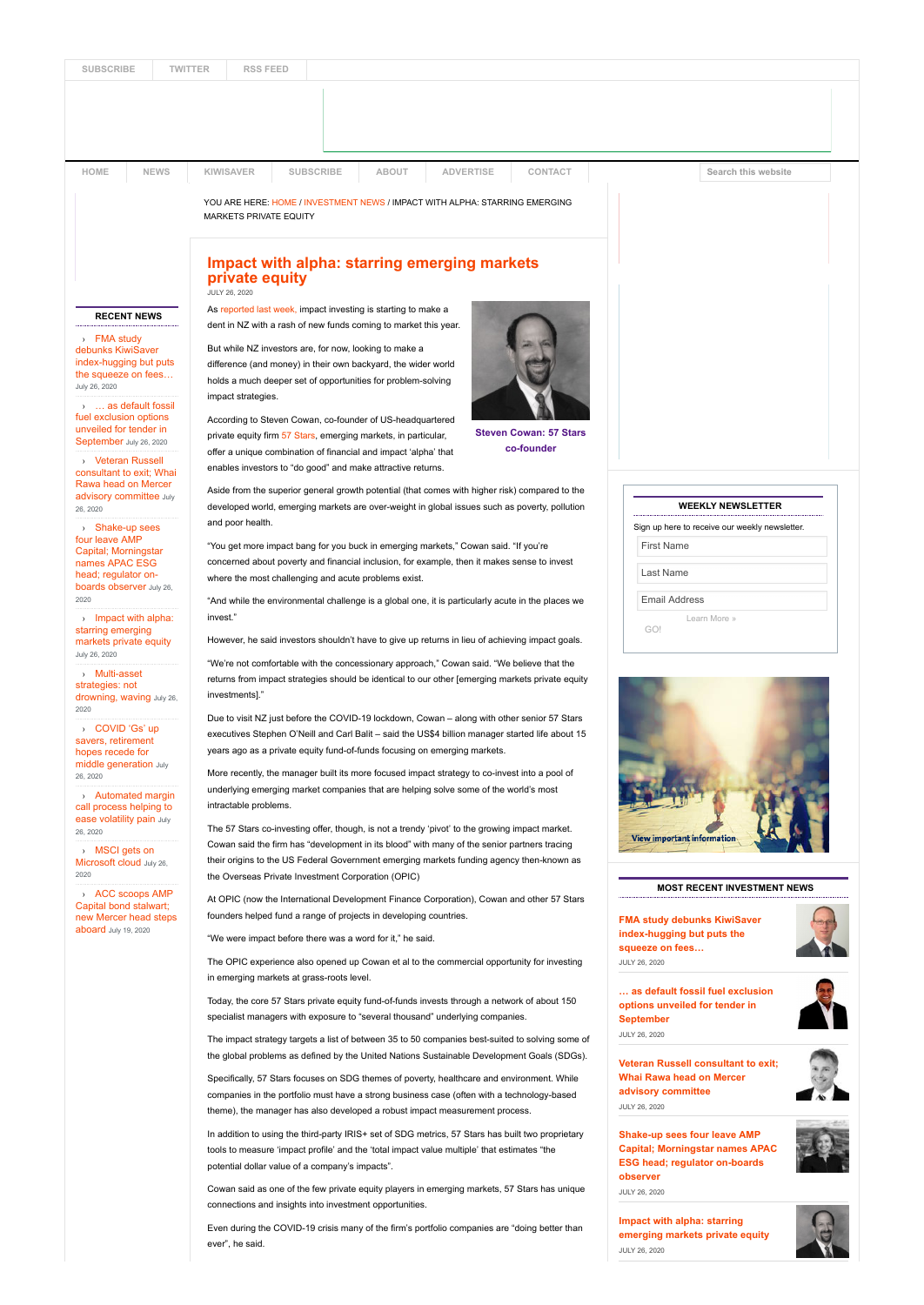| <b>SUBSCRIBE</b> | <b>TWITTER</b> | <b>RSS FEED</b> |  |
|------------------|----------------|-----------------|--|
|                  |                |                 |  |
|                  |                |                 |  |

| HOME                                                                                                                                                                                                                            | <b>NEWS</b>               | <b>KIWISAVER</b>                                                                                                                                                                                                                                                                                                                                                                                                                                                                                                                                                  | <b>SUBSCRIBE</b>                                                                                                                                                                                | <b>ABOUT</b> | <b>ADVERTISE</b> | CONTACT                                                                                         |                                                                                      | Search this website                |  |  |  |
|---------------------------------------------------------------------------------------------------------------------------------------------------------------------------------------------------------------------------------|---------------------------|-------------------------------------------------------------------------------------------------------------------------------------------------------------------------------------------------------------------------------------------------------------------------------------------------------------------------------------------------------------------------------------------------------------------------------------------------------------------------------------------------------------------------------------------------------------------|-------------------------------------------------------------------------------------------------------------------------------------------------------------------------------------------------|--------------|------------------|-------------------------------------------------------------------------------------------------|--------------------------------------------------------------------------------------|------------------------------------|--|--|--|
|                                                                                                                                                                                                                                 |                           | MARKETS PRIVATE EQUITY                                                                                                                                                                                                                                                                                                                                                                                                                                                                                                                                            | YOU ARE HERE: HOME / INVESTMENT NEWS / IMPACT WITH ALPHA: STARRING EMERGING                                                                                                                     |              |                  |                                                                                                 |                                                                                      |                                    |  |  |  |
|                                                                                                                                                                                                                                 |                           | JULY 26, 2020                                                                                                                                                                                                                                                                                                                                                                                                                                                                                                                                                     | <b>Impact with alpha: starring emerging markets</b><br>private equity                                                                                                                           |              |                  |                                                                                                 |                                                                                      |                                    |  |  |  |
| <b>RECENT NEWS</b><br>> FMA study<br>debunks KiwiSaver<br>index-hugging but puts<br>the squeeze on fees<br>July 26, 2020<br>>  as default fossil<br>fuel exclusion options<br>unveiled for tender in<br>September July 26, 2020 |                           | As reported last week, impact investing is starting to make a                                                                                                                                                                                                                                                                                                                                                                                                                                                                                                     |                                                                                                                                                                                                 |              |                  |                                                                                                 |                                                                                      |                                    |  |  |  |
|                                                                                                                                                                                                                                 |                           | dent in NZ with a rash of new funds coming to market this year.<br>But while NZ investors are, for now, looking to make a<br>difference (and money) in their own backyard, the wider world<br>holds a much deeper set of opportunities for problem-solving<br>impact strategies.<br>According to Steven Cowan, co-founder of US-headquartered<br><b>Steven Cowan: 57 Stars</b><br>private equity firm 57 Stars, emerging markets, in particular,                                                                                                                  |                                                                                                                                                                                                 |              |                  |                                                                                                 |                                                                                      |                                    |  |  |  |
|                                                                                                                                                                                                                                 |                           |                                                                                                                                                                                                                                                                                                                                                                                                                                                                                                                                                                   |                                                                                                                                                                                                 |              |                  |                                                                                                 |                                                                                      |                                    |  |  |  |
| > Veteran Russell<br>Rawa head on Mercer                                                                                                                                                                                        | consultant to exit: Whai  |                                                                                                                                                                                                                                                                                                                                                                                                                                                                                                                                                                   | offer a unique combination of financial and impact 'alpha' that<br>enables investors to "do good" and make attractive returns.                                                                  |              |                  | co-founder                                                                                      |                                                                                      |                                    |  |  |  |
| 26, 2020                                                                                                                                                                                                                        | advisory committee July   | and poor health.                                                                                                                                                                                                                                                                                                                                                                                                                                                                                                                                                  | Aside from the superior general growth potential (that comes with higher risk) compared to the<br>developed world, emerging markets are over-weight in global issues such as poverty, pollution |              |                  |                                                                                                 |                                                                                      | <b>WEEKLY NEWSLETTER</b>           |  |  |  |
| > Shake-up sees<br>four leave AMP                                                                                                                                                                                               |                           | "You get more impact bang for you buck in emerging markets," Cowan said. "If you're<br>concerned about poverty and financial inclusion, for example, then it makes sense to invest<br>where the most challenging and acute problems exist.                                                                                                                                                                                                                                                                                                                        |                                                                                                                                                                                                 |              |                  |                                                                                                 | Sign up here to receive our weekly newsletter.<br><b>First Name</b>                  |                                    |  |  |  |
| Capital; Morningstar<br>names APAC ESG<br>head; regulator on-                                                                                                                                                                   |                           |                                                                                                                                                                                                                                                                                                                                                                                                                                                                                                                                                                   |                                                                                                                                                                                                 |              |                  |                                                                                                 | Last Name                                                                            |                                    |  |  |  |
| boards observer July 26,<br>2020                                                                                                                                                                                                |                           |                                                                                                                                                                                                                                                                                                                                                                                                                                                                                                                                                                   | "And while the environmental challenge is a global one, it is particularly acute in the places we                                                                                               |              |                  |                                                                                                 |                                                                                      | <b>Email Address</b>               |  |  |  |
| $\rightarrow$ Impact with alpha:<br>starring emerging<br>markets private equity                                                                                                                                                 |                           | invest."<br>However, he said investors shouldn't have to give up returns in lieu of achieving impact goals.                                                                                                                                                                                                                                                                                                                                                                                                                                                       |                                                                                                                                                                                                 |              |                  |                                                                                                 | GO!                                                                                  | Learn More »                       |  |  |  |
| July 26, 2020<br>> Multi-asset<br>strategies: not                                                                                                                                                                               | drowning, waving July 26, | "We're not comfortable with the concessionary approach," Cowan said. "We believe that the<br>returns from impact strategies should be identical to our other [emerging markets private equity<br>investments]."<br>Due to visit NZ just before the COVID-19 lockdown, Cowan - along with other senior 57 Stars<br>executives Stephen O'Neill and Carl Balit - said the US\$4 billion manager started life about 15<br>years ago as a private equity fund-of-funds focusing on emerging markets.                                                                   |                                                                                                                                                                                                 |              |                  |                                                                                                 |                                                                                      |                                    |  |  |  |
| 2020<br>COVID 'Gs' up<br>savers, retirement<br>hopes recede for<br>middle generation July                                                                                                                                       |                           |                                                                                                                                                                                                                                                                                                                                                                                                                                                                                                                                                                   |                                                                                                                                                                                                 |              |                  |                                                                                                 |                                                                                      |                                    |  |  |  |
| 26, 2020<br>> Automated margin<br>call process helping to<br>ease volatility pain July                                                                                                                                          |                           | More recently, the manager built its more focused impact strategy to co-invest into a pool of<br>underlying emerging market companies that are helping solve some of the world's most<br>intractable problems.<br>The 57 Stars co-investing offer, though, is not a trendy 'pivot' to the growing impact market.<br>Cowan said the firm has "development in its blood" with many of the senior partners tracing<br>their origins to the US Federal Government emerging markets funding agency then-known as<br>the Overseas Private Investment Corporation (OPIC) |                                                                                                                                                                                                 |              |                  |                                                                                                 |                                                                                      |                                    |  |  |  |
| 26, 2020<br>> MSCI gets on<br>Microsoft cloud July 26,<br>2020                                                                                                                                                                  |                           |                                                                                                                                                                                                                                                                                                                                                                                                                                                                                                                                                                   |                                                                                                                                                                                                 |              |                  |                                                                                                 | <b>View important information</b>                                                    |                                    |  |  |  |
| > ACC scoops AMP<br>Capital bond stalwart;                                                                                                                                                                                      | new Mercer head steps     |                                                                                                                                                                                                                                                                                                                                                                                                                                                                                                                                                                   | At OPIC (now the International Development Finance Corporation), Cowan and other 57 Stars                                                                                                       |              |                  |                                                                                                 |                                                                                      | <b>MOST RECENT INVESTMENT NEWS</b> |  |  |  |
| aboard July 19, 2020                                                                                                                                                                                                            |                           | founders helped fund a range of projects in developing countries.<br>"We were impact before there was a word for it," he said.                                                                                                                                                                                                                                                                                                                                                                                                                                    |                                                                                                                                                                                                 |              |                  |                                                                                                 | <b>FMA study debunks KiwiSaver</b><br>index-hugging but puts the<br>squeeze on fees… |                                    |  |  |  |
|                                                                                                                                                                                                                                 |                           |                                                                                                                                                                                                                                                                                                                                                                                                                                                                                                                                                                   | The OPIC experience also opened up Cowan et al to the commercial opportunity for investing<br>in emerging markets at grass-roots level.                                                         |              |                  |                                                                                                 | JULY 26, 2020                                                                        |                                    |  |  |  |
|                                                                                                                                                                                                                                 |                           |                                                                                                                                                                                                                                                                                                                                                                                                                                                                                                                                                                   | Today, the core 57 Stars private equity fund-of-funds invests through a network of about 150<br>specialist managers with exposure to "several thousand" underlying companies.                   |              |                  |                                                                                                 | as default fossil fuel exclusion<br>options unveiled for tender in<br>September      |                                    |  |  |  |
|                                                                                                                                                                                                                                 |                           |                                                                                                                                                                                                                                                                                                                                                                                                                                                                                                                                                                   |                                                                                                                                                                                                 |              |                  | The impact strategy targets a list of between 35 to 50 companies best-suited to solving some of | JULY 26, 2020                                                                        |                                    |  |  |  |
|                                                                                                                                                                                                                                 |                           |                                                                                                                                                                                                                                                                                                                                                                                                                                                                                                                                                                   | Specifically, 57 Stars focuses on SDG themes of poverty, healthcare and environment. While                                                                                                      |              |                  | the global problems as defined by the United Nations Sustainable Development Goals (SDGs).      | Veteran Russell consultant to exit;<br>Whai Rawa head on Mercer                      |                                    |  |  |  |
|                                                                                                                                                                                                                                 |                           | companies in the portfolio must have a strong business case (often with a technology-based<br>theme), the manager has also developed a robust impact measurement process.                                                                                                                                                                                                                                                                                                                                                                                         |                                                                                                                                                                                                 |              |                  | advisory committee<br>JULY 26, 2020                                                             |                                                                                      |                                    |  |  |  |

Cowan said as one of the few private equity players in emerging markets, 57 Stars has unique

Even during the COVID-19 crisis many of the firm's portfolio companies are "doing better than

connections and insights into investment opportunities.

ever", he said.

**Impact with alpha: starring [emerging markets private equity](https://investmentnews.co.nz/investment-news/impact-with-alpha-starring-emerging-markets-private-equity/)** JULY 26, 2020

**observer** JULY 26, 2020